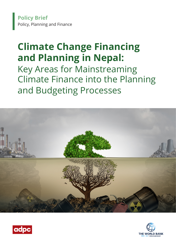**Policy Brief** Policy, Planning and Finance

# **Climate Change Financing and Planning in Nepal:**

Key Areas for Mainstreaming Climate Finance into the Planning and Budgeting Processes





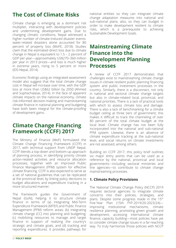# **The Cost of Climate Risks**

Climate change is emerging as a dominant risk multiplier, interacting with development policies and undermining development gains. Due to changing climatic conditions, Nepal witnessed a higher number of climate-induced disaster events: water-related disasters alone accounted for 80 percent of property loss (MoFE, 2018). Studies claim that the estimated direct loss due to climate change in Nepal is equivalent to 1.5 – 2 percent of GDP per year—approximately US\$270–360 million per year in 2013 prices—and loss is much higher in extreme years, rising to 5 percent or more (IDS-Nepal, 2014).

Economic findings using an integrated assessment model also suggest that the total climate change cost in Nepal will increase over time, with the GDP loss at more than US\$62 billion by 2050 (Ahmed and Suphachalasai, 2014). In the face of apparent climate impacts on the national economy, climate risk-informed decision-making and mainstreaming climate finance in national planning and budgeting have both been integral for the climate-proofing of development gains.

# **Climate Change Financing Framework (CCFF) 2017**

The Ministry of Finance (MoF) formulated the Climate Change Financing Framework (CCFF) in 2017, with technical support from UNDP Nepal. CCFF blends a top-down and bottom-up approach of planning process, in identifying priority climate action-related activities and resource allocation processes, together with an improved Public Finance Management (PFM) system for effective climate financing. CCFF is also expected to serve as a set of national guidelines that can be replicated at the provincial level, by linking policy decisions to budget allocations and expenditure tracking in a more structured manner.

The framework guides the Government of Nepal (GoN), helping it to structure climate finance in terms of (a) integrating Mid-Term Expenditure Framework (MTEF) and Public Finance Management (PFM) reform areas; (b) integrating climate change (CC) into planning and budgeting; (c) mobilizing resources to manage and target finance in support of realizing the country's strategic and climate goals, and (d) tracking and reporting expenditures. It provides pathways for

national entities so they can integrate climate change adaptation measures into national and sub-national plans; also, so they can budget in order to make development resilient to climate risks, which is a prerequisite to achieving Sustainable Development Goals.

# **Mainstreaming Climate Finance into the Development Planning Processes**

A review of CCFF 2017 demonstrates that challenges exist to mainstreaming climate change issues in climate resilient public planning financing system and public investment processes in the country. Similarly, there is a disconnect, not only in national and sectoral climate change targets but also in climate-related local, provincial, and national priorities. There is a lack of practical tools with which to assess climate loss and damage. There is also a lack of benchmarking for a climate budget ceiling at three tiers of government; this makes it difficult to track the channeling of over 80 percent of the total climate budget at the local level. Climate change has not been fully incorporated into the national and sub-national PFM system. Likewise, there is an absence of climate expenditure tracking at the sub-national level, and social returns on climate investments are not assessed, among others.

Building on CCFF 2017, this policy brief outlines six major entry points that can be used as a reference by the national, provincial and local governments—including sectoral ministries and line agencies—to contribute to climate change mainstreaming processes.

## **1. Climate Policy Provisions**

The National Climate Change Policy (NCCP) 2019 requires sectoral agencies to integrate climate concerns into their policies, strategies, and plans. Despite some progress made in the 15th Five-Year Plan (15th FYP-2019/20-2023/24) improving institutional mechanisms, climate resilience planning, promoting green growth and development, accessing international climate finance, capacity building—most policies have yet to consider climate change issues in a far-reaching way. To truly harmonize those policies with NCCP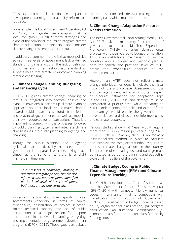2019 and promote climate finance as part of development planning, sectoral policy reforms are required.

For example, the Local Government Operating Act 2017 ought to integrate climate adaptation at the local level (MoFE, 2020). Sectoral strategies and plans at the provincial level must integrate climate change adaptation and financing, and consider climate change resilience (MoFE, 2020).

In addition, a common hurdle is that most policies across three levels of government lack a defined standard for climate actions. The lack of definition of norms and of an established standard of services mean that climate risk-informed planning remains challenging.

## **2. Climate Change Planning, Budgeting, and Financing Cycle**

CCFF 2017 guides climate change financing so that it is integrated into sectoral policies and plans. It envisions a bottom-up climate planning approach so that local-level climate changerelated activities can access funds from federal and provincial governments, as well as mobilize their own resources for climate actions. Thus, it is important to comply with the processes followed by public planning systems and integrate climate change issues into public planning, budgeting, and financing.

Though the public planning and budgeting cycle calendar practiced by the three tiers of government is a parallel exercise, taking place almost at the same time, there is a slight mismatch in timelines.

> *This presents a challenge, making it difficult to integrate priority climate riskinformed development plans identified at the local level with sectoral plans, both horizontally and vertically.*

Moreover, the low absorptive capacity of local governments—especially in terms of capital expenditure, politicization of project selection, limited technical capacity, and lack of public participation—is a major reason for a poor performance in the overall planning, budgeting, and implementation of government development programs (DRCN, 2019). These gaps can debase

climate risk-informed decision-making in the planning cycle, which must be addressed.

## **3. Climate Change Adaptation Resource Needs Estimation**

The Inter-Governmental Fiscal Arrangement (IGFA) Act, 2017 makes it mandatory for three tiers of government to prepare a Mid-Term Expenditure Framework (MTEF), to align developmental projects with those related to budget formulation. This is an institutional mechanism to link the country's annual budget and periodic plan at both the federal and provincial level, as MTEF details the expenditure priorities of the development sectors.

However, an MTEF does not reflect climate change priorities, nor does it indicate the fiscal impact of loss and damage. Assessment of loss and damage is identified as an important aspect of resource estimation for adaptation gaps in the CCFF, 2017. Loss and damage must be considered a priority area while preparing an MTEF. Understanding the risks and extent of loss and damage would enable the government to develop climate and disaster risk-informed plans, and estimate resources.

Various studies show that Nepal would require more than USD 272 million per year during 2026- 30 (NPC, 2018). However, there is no formally institutionalized method in place to calculate and establish the total, exact funding required to address climate change actions in the country. The practice of estimating loss and damage must be instated as part of the planning and budgeting cycle at all three tiers of the government.

#### **4. Climate Budget Coding in Public Finance Management (PFM) and Climate Expenditure Tracking**

The GoN has developed the Chart of Accounts as per the Government Finance Statistics Manual (GFSM) 2014 with computer-friendly numerical codes, in a manner that is compatible with Classification of Functions of Government (COFOG). Classification of budget codes is based on (a) organizational classification, (b) program classification, (c) functional classification, (d) economic classification, and (e) classification by funding source.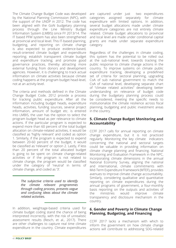The Climate Change Budget Code was developed by the National Planning Commission (NPC), with the support of the UNDP in 2012. The code has been aligned with the GoN budgetary planning process through the Line Ministry Budget Information System (LMBIS) since FY 2013/14. The IT based PFM system has also been strengthened at provincial and local level. This IT-based planning, budgeting, and reporting on climate change is also expected to produce evidence-based, result-oriented climate budget and expenditure reporting; establish transparent climate budget and expenditure tracking; and promote good governance practices, thereby attracting more external funding from donors and development agencies. However, it is challenging to track actual information on climate activities because climate coding happens at the program budget head-level, not at an activity-level.

The criteria and methods defined in the Climate Change Budget Code, 2012 provide a process for tracking public expenditure. After all the information including budget heads, expenditure heads, activities, funding sources, several project information, amount of budget etc. is entered into LMBIS, the user has the option to select the program budget head as per relevance to climate actions. If the particular program is expected to expend more than 60 percent of the total budget allocation on climate-related activities, it would be classified as 'highly relevant' and coded as option 1. Similarly, if the program is expected to expend between 20-60 percent of the budget, it would be classified as 'relevant' or option 2. Lastly, if less than 20 percent of the total allocated budget is going to be spent on climate change-related activities or if the program is not related to climate change, the program would be classified under the category of 'neutral' in terms of climate change, and coded as '3'.

> *The subjective criteria used to identify the climate relevant programmes through coding process, presents vague and confusing ideas about the climate related activities.*

In addition, weightage-based criteria used for climate budget coding stand the chance of being interpreted incorrectly, with the risk of unrealistic assessment results (Resch, et al., 2017). There are other challenges to capture real time climate expenditure in the country. Climate expenditures are captured under just two expenditures categories assigned separately for climate expenditure with limited options. In addition, several budget allocations made under climate expenditure categories are not entirely climate related. Climate budget allocations to provincial and local level are made under conditional capital grants are made under separate expenditure category.

Regardless of the challenges in climate coding, this system has the potential to be rolled out at the sub-national level, towards tracking the public response to climate change actions in the country. To improve systems on climate public expenditure tracking, developing a predefined set of criteria for sectoral planning, upgrading CoA of sub national government to match the CoA of national level, developing separate chart of "climate related activities" developing better understanding on relevance of budget code during the budgetary planning process could be considered, meeting the specific needs to institutionalize the climate resilience across fiscal planning, budgeting and public investment areas in the country.

#### **5. Climate Change Budget Monitoring and Accountability**

CCFF 2017 calls for annual reporting on climate change expenditure, but it is not practiced regularly. Monitoring the key climate indicators concerning the national and sectoral targets could be valuable in providing information on climate change planning and financing. National Monitoring and Evaluation Framework in the NPC, incorporating climate dimensions in the annual National Economy Survey, aligning the national and international, climate commitments with Mid-Term Expenditure Framework (MTEF), provides avenues to improve climate change accountability. Similarly, considering qualitative and quantitative reporting on climate expenditures during the annual programs of government, a four-monthly basis reporting on the outputs and activities of the ministries would improve climate transparency and disclosure mechanism in the country.

## **6. Gender and Poverty in Climate Change Planning, Budgeting, and Financing**

CCFF 2017 lacks a mechanism with which to inform the government on how climate change actions will contribute to addressing SDG-related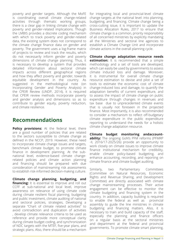poverty and gender targets. Although the MoFE is coordinating overall climate change-related activities through thematic working groups, there is a clear gap in linking climate change with poverty and gender-related implications. Though the LMBIS provides a discrete coding mechanism with which to track poverty and gender-related data, the existing system does not correspond to the climate change finance data on gender and poverty. The government uses a log-frame matrix of projects to review and track the results, which do not necessarily inform gender and poverty dimensions of climate change planning. Thus, it is necessary to develop a system that provides detailed information about sectoral climate impacts across different geographical regions and how they affect poverty and gender, towards equitable development in the country. As suggested in the methodological note (on Incorporating Gender and Poverty Analysis) in the CPEIR Review (UNDP, 2014), it is required that CPEIR review methods incorporate poverty and gender analysis and dimensions so as to contribute to gender equity, poverty reduction, and climate resilience.

## **Recommendations**

**Policy provisions:** At the federal level, there are a good number of policies that are related to the sectors susceptible to climate change as defined in the NCCP, 2019. However, these need to incorporate climate change issues and targets, benchmark climate budget, to promote climate finance in development planning. At the subnational level, evidence-based climate changerelated policies and climate action planning and financing should be prepared with due consideration of mainstreaming risk assessments to establish risk-informed decision-making culture.

**Climate change planning, budgeting, and financing:** It is essential to improve and roll out CCFF at sub-national and local level, improve awareness on relevance of using climate code during climate resilient fiscal planning, budgeting and public investment, climate auditing of national and sectoral policies, strategies, Developing a separate "Chart of climate related activities" to avoid contradiction and duplication of activities , develop climate relevance criteria to be used as reference and provide more conceptual clarity during climate budget coding, and synchronization of NDC targets with the MTEF, five-year plans, and strategic plans. Also, there should be a mechanism

for integrating local and provincial-level climate change targets at the national level: into planning, budgeting, and financing. Climate change being a cross-cutting issue, it is important to update the Business Allocation Rules, 2017 to ensure that climate change is a common, priority responsibility of all concerned ministries by explicitly mandating all the Ministries and sectoral line agencies to establish a Climate Change Unit and incorporate climate actions in the overall planning cycle.

**Climate change adaptation resource needs estimation:** It is recommended that a simple methodology and a set of tools are developed, which can easily be used by governments to assess climate induced loss and damage. Moreover, it is instrumental for overall climate change resource estimation to devise and pilot a set of tools to estimate the economic cost of climate change-induced loss and damage, to quantify the adaptation benefits of current expenditure, and to assess the impact of climate change on public expenditure through changes in revenues and tax base due to unprecedented climate events that is usually not foreseen in the projected finance. Most importantly, it is also recommended to consider a mechanism to reflect off-budgetary climate expenditure in the public expenditure reporting to understand the needs for a holistic climate change adaptation resource.

**Climate budget monitoring andaccountability:** The ongoing GoN's PFM reforms (PFMRP -II, 2016/17-2025/26) provide an opportunity to work closely on climate issues to improve climate finance institutional mechanism for credibility, enable climate policy-based budgeting, and enhance accounting, recording, and reporting on climate finance and climate budget auditing.

Similarly, two Parliamentary Committees (Committee on Natural Resources, Economic Rights and Revenue Sharing, and Development Committee) are directly associated with climate change mainstreaming processes. Their active engagement can be effective to monitor the climate budgeting and financing system in the country. In addition, capacity building is required to enable the federal as well as provincial assembly to guide the line ministries in climate budgeting and financing matters. Also, it is necessary to train and build capacity of the staff, especially the planning and finance officers on a regular basis at the sectoral ministries and department at the federal and provincial governments. To promote climate smart planning,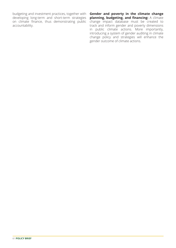budgeting and investment practices, together with developing long-term and short-term strategies on climate finance, thus demonstrating public accountability.

**Gender and poverty in the climate change planning, budgeting, and financing:** A climate change impact database must be created to track and inform gender and poverty dimensions in public climate actions. More importantly, introducing a system of gender auditing in climate change policy and strategies will enhance the gender outcome of climate actions.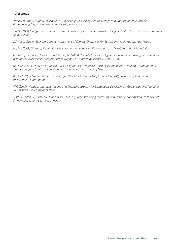#### **References**

*Ahmed, M. and S. Suphachalasai (2014), 'Assessing the costs of climate change and adaptation in South Asia', Mandaluyong City, Philippines: Asian Development Bank.*

*DRCN (2019), 'Budget allocation and implementation by local governments in the federal structure', Democracy Resource Center Nepal.*

*IDS-Nepal (2014), 'Economic Impact Assessment of Climate Change in Key Sectors in Nepal', Kathmandu, Nepal.*

*Jha, N. (2020), 'Status of Expenditure Framework and Mid-term Planning at Local Level', Samriddhi Foundation.*

*Mahat, T.J, Blaha, L., Uprety, B. and Bittner, M. (2019), 'Climate finance and green growth: reconsidering climate‑related institutions, investments, and priorities in Nepal', Environmental Science Europe, 31:46.*

*MoFE (2020), 'A report on proposed revisions of the selected policies, strategies and plans to integrate adaptation to climate change', Ministry of Forest and Environment, Government of Nepal.*

*MoFE (2018), 'Climate Change Scenarios for Nepal for National Adaptation Plan (NAP)', Ministry of Forests and Environment, Kathmandu.*

*NPC (2018), 'Needs assessment, costing and financing strategy for Sustainable Development Goals', National Planning Commission, Government of Nepal.* 

*Resch, E., Allan, S., Alvarez, L.Z. and Bisht, H (2017), 'Mainstreaming, accessing and institutionalizing finance for climate change adaptation', Learning paper.*